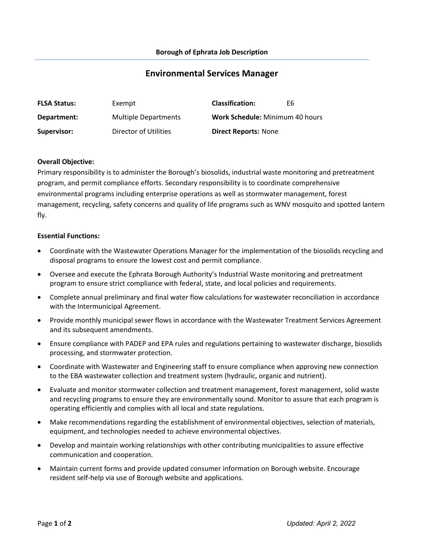# **Environmental Services Manager**

| <b>FLSA Status:</b> | Exempt                      | <b>Classification:</b>                 | F6 |
|---------------------|-----------------------------|----------------------------------------|----|
| Department:         | <b>Multiple Departments</b> | <b>Work Schedule: Minimum 40 hours</b> |    |
| Supervisor:         | Director of Utilities       | <b>Direct Reports: None</b>            |    |

#### **Overall Objective:**

Primary responsibility is to administer the Borough's biosolids, industrial waste monitoring and pretreatment program, and permit compliance efforts. Secondary responsibility is to coordinate comprehensive environmental programs including enterprise operations as well as stormwater management, forest management, recycling, safety concerns and quality of life programs such as WNV mosquito and spotted lantern fly.

#### **Essential Functions:**

- Coordinate with the Wastewater Operations Manager for the implementation of the biosolids recycling and disposal programs to ensure the lowest cost and permit compliance.
- Oversee and execute the Ephrata Borough Authority's Industrial Waste monitoring and pretreatment program to ensure strict compliance with federal, state, and local policies and requirements.
- Complete annual preliminary and final water flow calculations for wastewater reconciliation in accordance with the Intermunicipal Agreement.
- Provide monthly municipal sewer flows in accordance with the Wastewater Treatment Services Agreement and its subsequent amendments.
- Ensure compliance with PADEP and EPA rules and regulations pertaining to wastewater discharge, biosolids processing, and stormwater protection.
- Coordinate with Wastewater and Engineering staff to ensure compliance when approving new connection to the EBA wastewater collection and treatment system (hydraulic, organic and nutrient).
- Evaluate and monitor stormwater collection and treatment management, forest management, solid waste and recycling programs to ensure they are environmentally sound. Monitor to assure that each program is operating efficiently and complies with all local and state regulations.
- Make recommendations regarding the establishment of environmental objectives, selection of materials, equipment, and technologies needed to achieve environmental objectives.
- Develop and maintain working relationships with other contributing municipalities to assure effective communication and cooperation.
- Maintain current forms and provide updated consumer information on Borough website. Encourage resident self-help via use of Borough website and applications.